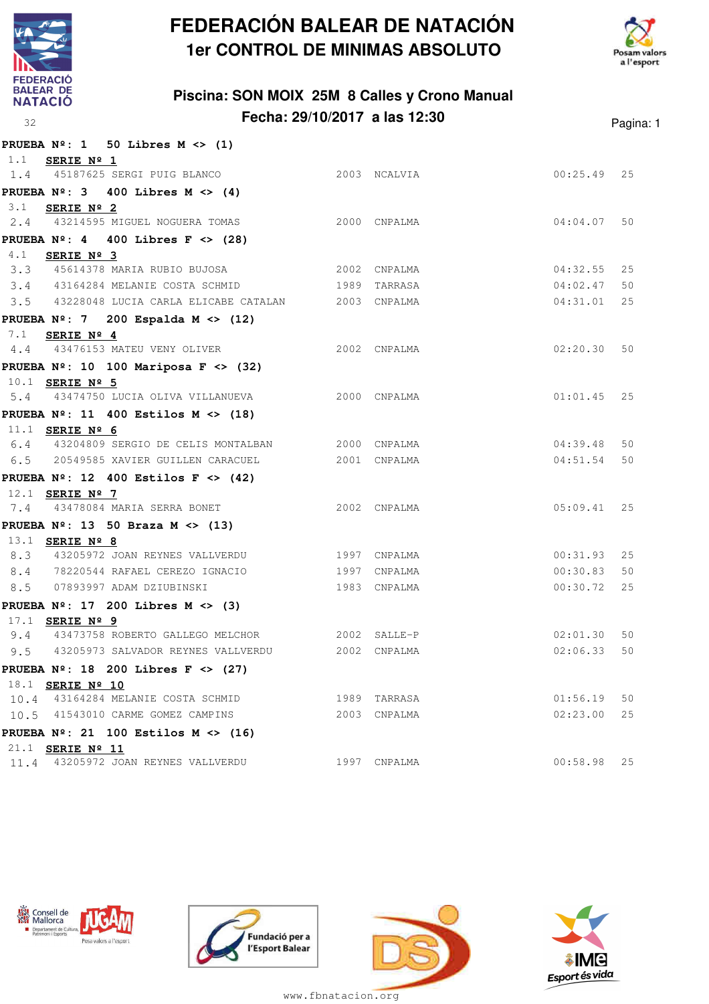

**PRUEBA Nº: 1 50 Libres M <> (1)**

## **FEDERACIÓN BALEAR DE NATACIÓN 1er CONTROL DE MINIMAS ABSOLUTO**





|                        | $FNOEDA$ $N^-.$ $I$ $JU$ $JULES$ $M \leq (1)$         |              |               |    |
|------------------------|-------------------------------------------------------|--------------|---------------|----|
| 1.1 SERIE Nº 1         |                                                       |              |               |    |
|                        | 1.4 45187625 SERGI PUIG BLANCO 2003 NCALVIA           |              | $00:25.49$ 25 |    |
|                        | PRUEBA $N^{\circ}$ : 3 400 Libres M <> (4)            |              |               |    |
| 3.1 <b>SERIE Nº 2</b>  |                                                       |              |               |    |
|                        | 2.4 43214595 MIGUEL NOGUERA TOMAS 2000 CNPALMA        |              | 04:04.07      | 50 |
|                        | PRUEBA $N^{\circ}$ : 4 400 Libres F <> (28)           |              |               |    |
| 4.1 SERIE Nº 3         |                                                       |              |               |    |
|                        | 3.3 45614378 MARIA RUBIO BUJOSA 2002 CNPALMA          |              | $04:32.55$ 25 |    |
|                        | 3.4 43164284 MELANIE COSTA SCHMID 1989 TARRASA        |              | 04:02.47      | 50 |
|                        | 3.5 43228048 LUCIA CARLA ELICABE CATALAN 2003 CNPALMA |              | 04:31.01      | 25 |
|                        | PRUEBA $N^{\circ}$ : 7 200 Espalda M <> (12)          |              |               |    |
| 7.1 SERIE Nº 4         |                                                       |              |               |    |
|                        | 4.4 43476153 MATEU VENY OLIVER 2002 CNPALMA           |              | 02:20.30 50   |    |
|                        | PRUEBA $N^{\circ}$ : 10 100 Mariposa F <> (32)        |              |               |    |
| 10.1 <b>SERIE Nº 5</b> |                                                       |              |               |    |
|                        | 5.4 43474750 LUCIA OLIVA VILLANUEVA                   | 2000 CNPALMA | $01:01.45$ 25 |    |
|                        | PRUEBA $N^{\circ}$ : 11 400 Estilos M <> (18)         |              |               |    |
| 11.1 SERIE Nº 6        |                                                       |              |               |    |
|                        | 6.4 43204809 SERGIO DE CELIS MONTALBAN 2000 CNPALMA   |              | 04:39.48      | 50 |
|                        | 6.5 20549585 XAVIER GUILLEN CARACUEL                  | 2001 CNPALMA | 04:51.54      | 50 |
|                        | PRUEBA $N^{\circ}$ : 12 400 Estilos F <> (42)         |              |               |    |
| 12.1 <b>SERIE Nº 7</b> |                                                       |              |               |    |
|                        | 7.4 43478084 MARIA SERRA BONET 2002 CNPALMA           |              | $05:09.41$ 25 |    |
|                        | PRUEBA $N^{\circ}$ : 13 50 Braza M <> (13)            |              |               |    |
| 13.1 <b>SERIE Nº 8</b> |                                                       |              |               |    |
|                        | 8.3 43205972 JOAN REYNES VALLVERDU 1997 CNPALMA       |              | $00:31.93$ 25 |    |
|                        | 8.4 78220544 RAFAEL CEREZO IGNACIO 1997 CNPALMA       |              | 00:30.83      | 50 |
|                        | 8.5 07893997 ADAM DZIUBINSKI                          | 1983 CNPALMA | 00:30.72      | 25 |
|                        | PRUEBA $N^2$ : 17 200 Libres M <> (3)                 |              |               |    |
| 17.1 <b>SERIE Nº 9</b> |                                                       |              |               |    |
|                        | 9.4 43473758 ROBERTO GALLEGO MELCHOR 2002 SALLE-P     |              | 02:01.30 50   |    |
|                        | 9.5 43205973 SALVADOR REYNES VALLVERDU 2002 CNPALMA   |              | 02:06.33      | 50 |
|                        | PRUEBA $N^2$ : 18 200 Libres F <> (27)                |              |               |    |
| 18.1 SERIE Nº 10       |                                                       |              |               |    |
|                        | 10.4 43164284 MELANIE COSTA SCHMID                    | 1989 TARRASA | 01:56.19      | 50 |
|                        | 10.5 41543010 CARME GOMEZ CAMPINS                     | 2003 CNPALMA | 02:23.00      | 25 |
|                        | PRUEBA $N^{\circ}$ : 21 100 Estilos M <> (16)         |              |               |    |
| 21.1 SERIE Nº 11       |                                                       |              |               |    |
|                        | 11.4 43205972 JOAN REYNES VALLVERDU                   | 1997 CNPALMA | $00:58.98$ 25 |    |









www.fbnatacion.org